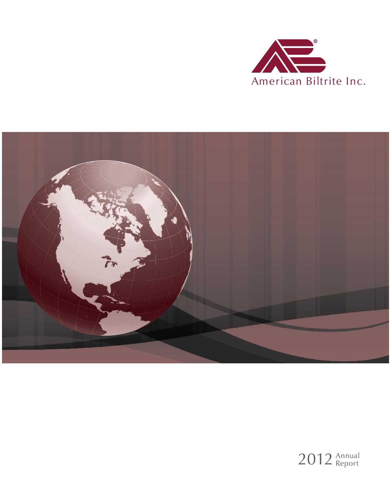



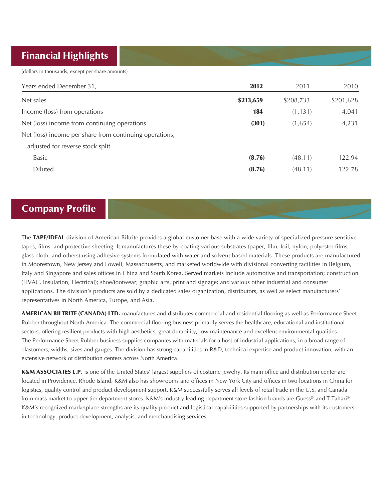# Financial Highlights

(dollars in thousands, except per share amounts)

| Years ended December 31,                                | 2012      | 2011      | 2010      |
|---------------------------------------------------------|-----------|-----------|-----------|
| Net sales                                               | \$213,659 | \$208,733 | \$201,628 |
| Income (loss) from operations                           | 184       | (1, 131)  | 4,041     |
| Net (loss) income from continuing operations            | (301)     | (1,654)   | 4,231     |
| Net (loss) income per share from continuing operations, |           |           |           |
| adjusted for reverse stock split                        |           |           |           |
| Basic                                                   | (8.76)    | (48.11)   | 122.94    |
| Diluted                                                 | (8.76)    | (48.11)   | 122.78    |

## Company Profile

The TAPE/IDEAL division of American Biltrite provides a global customer base with a wide variety of specialized pressure sensitive tapes, films, and protective sheeting. It manufactures these by coating various substrates (paper, film, foil, nylon, polyester films, glass cloth, and others) using adhesive systems formulated with water and solvent-based materials. These products are manufactured in Moorestown, New Jersey and Lowell, Massachusetts, and marketed worldwide with divisional converting facilities in Belgium, Italy and Singapore and sales offices in China and South Korea. Served markets include automotive and transportation; construction (HVAC, Insulation, Electrical); shoe/footwear; graphic arts, print and signage; and various other industrial and consumer applications. The division's products are sold by a dedicated sales organization, distributors, as well as select manufacturers' representatives in North America, Europe, and Asia.

AMERICAN BILTRITE (CANADA) LTD. manufactures and distributes commercial and residential flooring as well as Performance Sheet Rubber throughout North America. The commercial flooring business primarily serves the healthcare, educational and institutional sectors, offering resilient products with high aesthetics, great durability, low maintenance and excellent environmental qualities. The Performance Sheet Rubber business supplies companies with materials for a host of industrial applications, in a broad range of elastomers, widths, sizes and gauges. The division has strong capabilities in R&D, technical expertise and product innovation, with an extensive network of distribution centers across North America.

K&M ASSOCIATES L.P. is one of the United States' largest suppliers of costume jewelry. Its main office and distribution center are located in Providence, Rhode Island. K&M also has showrooms and offices in New York City and offices in two locations in China for logistics, quality control and product development support. K&M successfully serves all levels of retail trade in the U.S. and Canada from mass market to upper tier department stores. K&M's industry leading department store fashion brands are Guess® and T Tahari®. K&M's recognized marketplace strengths are its quality product and logistical capabilities supported by partnerships with its customers in technology, product development, analysis, and merchandising services.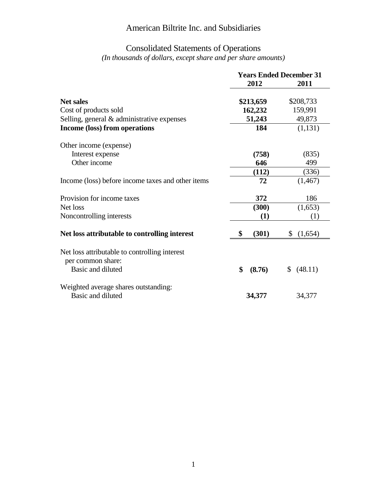## Consolidated Statements of Operations

*(In thousands of dollars, except share and per share amounts)*

|                                                   | <b>Years Ended December 31</b> |               |
|---------------------------------------------------|--------------------------------|---------------|
|                                                   | 2012                           | 2011          |
| <b>Net sales</b>                                  | \$213,659                      | \$208,733     |
| Cost of products sold                             | 162,232                        | 159,991       |
| Selling, general & administrative expenses        | 51,243                         | 49,873        |
| Income (loss) from operations                     | 184                            | (1, 131)      |
| Other income (expense)                            |                                |               |
| Interest expense                                  | (758)                          | (835)         |
| Other income                                      | 646                            | 499           |
|                                                   | (112)                          | (336)         |
| Income (loss) before income taxes and other items | 72                             | (1, 467)      |
| Provision for income taxes                        | 372                            | 186           |
| Net loss                                          | (300)                          | (1,653)       |
| Noncontrolling interests                          | (1)                            | (1)           |
| Net loss attributable to controlling interest     | (301)<br>\$                    | (1,654)<br>\$ |
| Net loss attributable to controlling interest     |                                |               |
| per common share:                                 |                                |               |
| Basic and diluted                                 | \$<br>(8.76)                   | (48.11)<br>\$ |
| Weighted average shares outstanding:              |                                |               |
| Basic and diluted                                 | 34,377                         | 34,377        |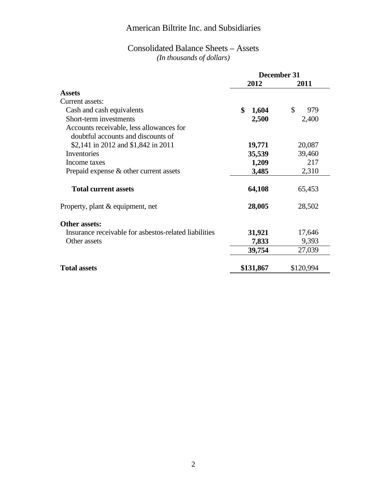#### Consolidated Balance Sheets – Assets *(In thousands of dollars)*

|                                                       | December 31 |                      |
|-------------------------------------------------------|-------------|----------------------|
|                                                       | 2012        | 2011                 |
| <b>Assets</b>                                         |             |                      |
| Current assets:                                       |             |                      |
| Cash and cash equivalents                             | \$<br>1,604 | $\mathcal{S}$<br>979 |
| Short-term investments                                | 2,500       | 2,400                |
| Accounts receivable, less allowances for              |             |                      |
| doubtful accounts and discounts of                    |             |                      |
| \$2,141 in 2012 and \$1,842 in 2011                   | 19,771      | 20,087               |
| Inventories                                           | 35,539      | 39,460               |
| Income taxes                                          | 1,209       | 217                  |
| Prepaid expense $\&$ other current assets             | 3,485       | 2,310                |
| <b>Total current assets</b>                           | 64,108      | 65,453               |
| Property, plant & equipment, net                      | 28,005      | 28,502               |
| Other assets:                                         |             |                      |
| Insurance receivable for asbestos-related liabilities | 31,921      | 17,646               |
| Other assets                                          | 7,833       | 9,393                |
|                                                       | 39,754      | 27,039               |
| <b>Total assets</b>                                   | \$131,867   | \$120,994            |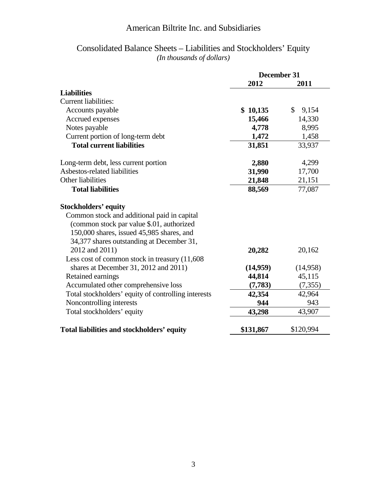#### Consolidated Balance Sheets – Liabilities and Stockholders' Equity *(In thousands of dollars)*

|                                                     | <b>December 31</b> |                       |
|-----------------------------------------------------|--------------------|-----------------------|
|                                                     | 2012               | 2011                  |
| <b>Liabilities</b>                                  |                    |                       |
| <b>Current liabilities:</b>                         |                    |                       |
| Accounts payable                                    | \$10,135           | $\mathbb{S}$<br>9,154 |
| Accrued expenses                                    | 15,466             | 14,330                |
| Notes payable                                       | 4,778              | 8,995                 |
| Current portion of long-term debt                   | 1,472              | 1,458                 |
| <b>Total current liabilities</b>                    | 31,851             | 33,937                |
| Long-term debt, less current portion                | 2,880              | 4,299                 |
| Asbestos-related liabilities                        | 31,990             | 17,700                |
| Other liabilities                                   | 21,848             | 21,151                |
| <b>Total liabilities</b>                            | 88,569             | 77,087                |
| <b>Stockholders' equity</b>                         |                    |                       |
| Common stock and additional paid in capital         |                    |                       |
| (common stock par value \$.01, authorized           |                    |                       |
| 150,000 shares, issued 45,985 shares, and           |                    |                       |
| 34,377 shares outstanding at December 31,           |                    |                       |
| 2012 and 2011)                                      | 20,282             | 20,162                |
| Less cost of common stock in treasury (11,608       |                    |                       |
| shares at December 31, 2012 and 2011)               | (14,959)           | (14,958)              |
| Retained earnings                                   | 44,814             | 45,115                |
| Accumulated other comprehensive loss                | (7, 783)           | (7, 355)              |
| Total stockholders' equity of controlling interests | 42,354             | 42,964                |
| Noncontrolling interests                            | 944                | 943                   |
| Total stockholders' equity                          | 43,298             | 43,907                |
| Total liabilities and stockholders' equity          | \$131,867          | \$120,994             |
|                                                     |                    |                       |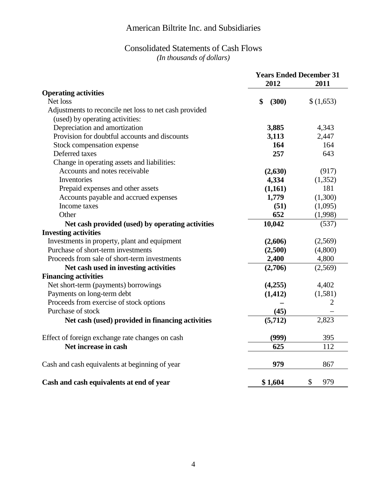#### Consolidated Statements of Cash Flows *(In thousands of dollars)*

|                                                        |             | <b>Years Ended December 31</b> |  |
|--------------------------------------------------------|-------------|--------------------------------|--|
|                                                        | 2012        | 2011                           |  |
| <b>Operating activities</b>                            |             |                                |  |
| Net loss                                               | \$<br>(300) | \$(1,653)                      |  |
| Adjustments to reconcile net loss to net cash provided |             |                                |  |
| (used) by operating activities:                        |             |                                |  |
| Depreciation and amortization                          | 3,885       | 4,343                          |  |
| Provision for doubtful accounts and discounts          | 3,113       | 2,447                          |  |
| Stock compensation expense                             | 164         | 164                            |  |
| Deferred taxes                                         | 257         | 643                            |  |
| Change in operating assets and liabilities:            |             |                                |  |
| Accounts and notes receivable                          | (2,630)     | (917)                          |  |
| Inventories                                            | 4,334       | (1,352)                        |  |
| Prepaid expenses and other assets                      | (1,161)     | 181                            |  |
| Accounts payable and accrued expenses                  | 1,779       | (1,300)                        |  |
| Income taxes                                           | (51)        | (1,095)                        |  |
| Other                                                  | 652         | (1,998)                        |  |
| Net cash provided (used) by operating activities       | 10,042      | (537)                          |  |
| <b>Investing activities</b>                            |             |                                |  |
| Investments in property, plant and equipment           | (2,606)     | (2,569)                        |  |
| Purchase of short-term investments                     | (2,500)     | (4,800)                        |  |
| Proceeds from sale of short-term investments           | 2,400       | 4,800                          |  |
| Net cash used in investing activities                  | (2,706)     | (2,569)                        |  |
| <b>Financing activities</b>                            |             |                                |  |
| Net short-term (payments) borrowings                   | (4,255)     | 4,402                          |  |
| Payments on long-term debt                             | (1, 412)    | (1,581)                        |  |
| Proceeds from exercise of stock options                |             | 2                              |  |
| Purchase of stock                                      | (45)        |                                |  |
| Net cash (used) provided in financing activities       | (5,712)     | 2,823                          |  |
| Effect of foreign exchange rate changes on cash        | (999)       | 395                            |  |
| Net increase in cash                                   | 625         | 112                            |  |
| Cash and cash equivalents at beginning of year         | 979         | 867                            |  |
| Cash and cash equivalents at end of year               | \$1,604     | \$<br>979                      |  |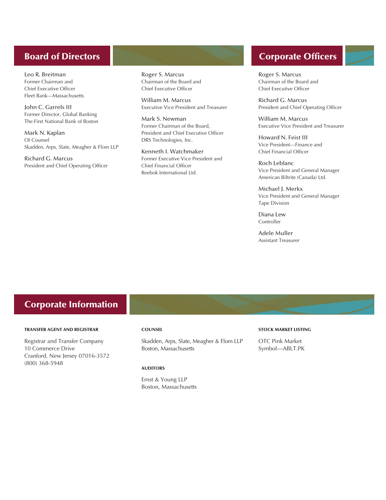#### Board of Directors

Leo R. Breitman Former Chairman and Chief Executive Officer Fleet Bank—Massachusetts

John C. Garrels III Former Director, Global Banking The First National Bank of Boston

Mark N. Kaplan Of Counsel Skadden, Arps, Slate, Meagher & Flom LLP

Richard G. Marcus President and Chief Operating Officer

Roger S. Marcus Chairman of the Board and Chief Executive Officer

William M. Marcus Executive Vice President and Treasurer

Mark S. Newman Former Chairman of the Board, President and Chief Executive Officer DRS Technologies, Inc.

Kenneth I. Watchmaker Former Executive Vice President and Chief Financial Officer Reebok International Ltd.

# Corporate Officers

Roger S. Marcus Chairman of the Board and Chief Executive Officer

Richard G. Marcus President and Chief Operating Officer

William M. Marcus Executive Vice President and Treasurer

Howard N. Feist III Vice President—Finance and Chief Financial Officer

Roch Leblanc Vice President and General Manager American Biltrite (Canada) Ltd.

Michael I. Merkx Vice President and General Manager Tape Division

Diana Lew Controller

Adele Muller Assistant Treasurer

### Corporate Information

#### TRANSFER AGENT AND REGISTRAR

Registrar and Transfer Company 10 Commerce Drive Cranford, New Jersey 07016-3572 (800) 368-5948

#### **COUNSEL**

Skadden, Arps, Slate, Meagher & Flom LLP Boston, Massachusetts

#### AUDITORS

Ernst & Young LLP Boston, Massachusetts

#### STOCK MARKET LISTING

OTC Pink Market Symbol—ABLT.PK